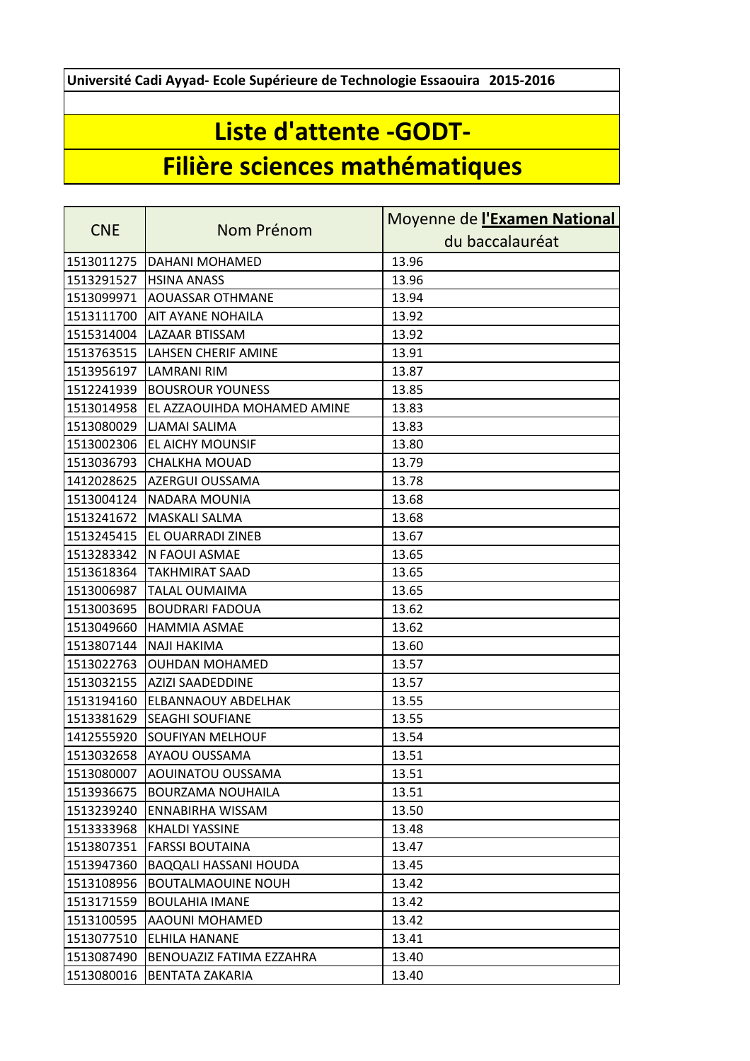**Université Cadi Ayyad- Ecole Supérieure de Technologie Essaouira 2015-2016**

## **Liste d'attente -GODT-**

## **Filière sciences mathématiques**

|            |                              | Moyenne de l'Examen National |
|------------|------------------------------|------------------------------|
| <b>CNE</b> | Nom Prénom                   | du baccalauréat              |
| 1513011275 | DAHANI MOHAMED               | 13.96                        |
| 1513291527 | <b>HSINA ANASS</b>           | 13.96                        |
| 1513099971 | <b>AOUASSAR OTHMANE</b>      | 13.94                        |
| 1513111700 | <b>AIT AYANE NOHAILA</b>     | 13.92                        |
| 1515314004 | LAZAAR BTISSAM               | 13.92                        |
| 1513763515 | <b>LAHSEN CHERIF AMINE</b>   | 13.91                        |
| 1513956197 | LAMRANI RIM                  | 13.87                        |
| 1512241939 | <b>BOUSROUR YOUNESS</b>      | 13.85                        |
| 1513014958 | EL AZZAOUIHDA MOHAMED AMINE  | 13.83                        |
| 1513080029 | <b>LJAMAI SALIMA</b>         | 13.83                        |
| 1513002306 | EL AICHY MOUNSIF             | 13.80                        |
| 1513036793 | <b>CHALKHA MOUAD</b>         | 13.79                        |
| 1412028625 | <b>AZERGUI OUSSAMA</b>       | 13.78                        |
| 1513004124 | NADARA MOUNIA                | 13.68                        |
| 1513241672 | <b>MASKALI SALMA</b>         | 13.68                        |
| 1513245415 | EL OUARRADI ZINEB            | 13.67                        |
| 1513283342 | N FAOUI ASMAE                | 13.65                        |
| 1513618364 | <b>TAKHMIRAT SAAD</b>        | 13.65                        |
| 1513006987 | <b>TALAL OUMAIMA</b>         | 13.65                        |
| 1513003695 | <b>BOUDRARI FADOUA</b>       | 13.62                        |
| 1513049660 | <b>HAMMIA ASMAE</b>          | 13.62                        |
| 1513807144 | <b>NAJI HAKIMA</b>           | 13.60                        |
| 1513022763 | <b>OUHDAN MOHAMED</b>        | 13.57                        |
| 1513032155 | <b>AZIZI SAADEDDINE</b>      | 13.57                        |
| 1513194160 | <b>ELBANNAOUY ABDELHAK</b>   | 13.55                        |
| 1513381629 | <b>SEAGHI SOUFIANE</b>       | 13.55                        |
| 1412555920 | <b>SOUFIYAN MELHOUF</b>      | 13.54                        |
| 1513032658 | <b>AYAOU OUSSAMA</b>         | 13.51                        |
| 1513080007 | AOUINATOU OUSSAMA            | 13.51                        |
| 1513936675 | <b>BOURZAMA NOUHAILA</b>     | 13.51                        |
| 1513239240 | ENNABIRHA WISSAM             | 13.50                        |
| 1513333968 | KHALDI YASSINE               | 13.48                        |
| 1513807351 | <b>FARSSI BOUTAINA</b>       | 13.47                        |
| 1513947360 | <b>BAQQALI HASSANI HOUDA</b> | 13.45                        |
| 1513108956 | <b>BOUTALMAOUINE NOUH</b>    | 13.42                        |
| 1513171559 | <b>BOULAHIA IMANE</b>        | 13.42                        |
| 1513100595 | AAOUNI MOHAMED               | 13.42                        |
| 1513077510 | <b>ELHILA HANANE</b>         | 13.41                        |
| 1513087490 | BENOUAZIZ FATIMA EZZAHRA     | 13.40                        |
| 1513080016 | BENTATA ZAKARIA              | 13.40                        |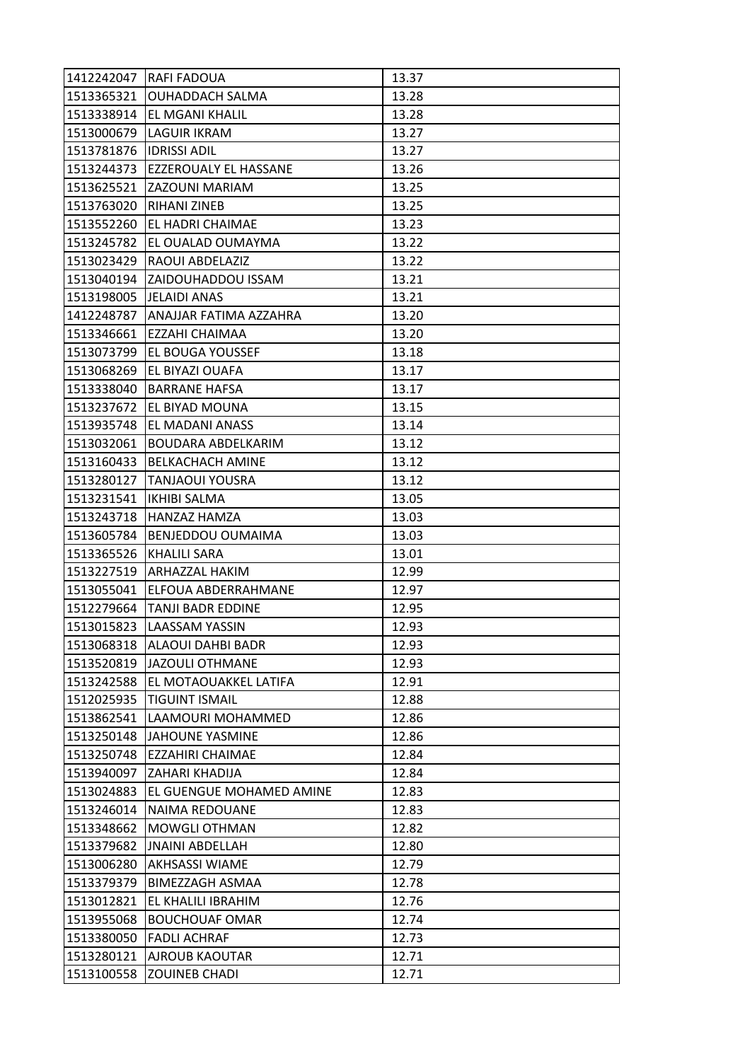| 1412242047 | <b>RAFI FADOUA</b>             | 13.37 |
|------------|--------------------------------|-------|
| 1513365321 | <b>OUHADDACH SALMA</b>         | 13.28 |
| 1513338914 | EL MGANI KHALIL                | 13.28 |
| 1513000679 | LAGUIR IKRAM                   | 13.27 |
| 1513781876 | <b>IDRISSI ADIL</b>            | 13.27 |
| 1513244373 | EZZEROUALY EL HASSANE          | 13.26 |
|            | 1513625521 ZAZOUNI MARIAM      | 13.25 |
| 1513763020 | RIHANI ZINEB                   | 13.25 |
| 1513552260 | EL HADRI CHAIMAE               | 13.23 |
| 1513245782 | EL OUALAD OUMAYMA              | 13.22 |
| 1513023429 | RAOUI ABDELAZIZ                | 13.22 |
| 1513040194 | <b>ZAIDOUHADDOU ISSAM</b>      | 13.21 |
| 1513198005 | <b>JELAIDI ANAS</b>            | 13.21 |
| 1412248787 | ANAJJAR FATIMA AZZAHRA         | 13.20 |
| 1513346661 | EZZAHI CHAIMAA                 | 13.20 |
|            | 1513073799 EL BOUGA YOUSSEF    | 13.18 |
| 1513068269 | EL BIYAZI OUAFA                | 13.17 |
| 1513338040 | <b>BARRANE HAFSA</b>           | 13.17 |
| 1513237672 | EL BIYAD MOUNA                 | 13.15 |
| 1513935748 | EL MADANI ANASS                | 13.14 |
| 1513032061 | BOUDARA ABDELKARIM             | 13.12 |
| 1513160433 | <b>BELKACHACH AMINE</b>        | 13.12 |
| 1513280127 | <b>TANJAOUI YOUSRA</b>         | 13.12 |
| 1513231541 | <b>IKHIBI SALMA</b>            | 13.05 |
| 1513243718 | HANZAZ HAMZA                   | 13.03 |
| 1513605784 | <b>BENJEDDOU OUMAIMA</b>       | 13.03 |
| 1513365526 | KHALILI SARA                   | 13.01 |
| 1513227519 | <b>ARHAZZAL HAKIM</b>          | 12.99 |
|            | 1513055041 ELFOUA ABDERRAHMANE | 12.97 |
| 1512279664 | TANJI BADR EDDINE              | 12.95 |
| 1513015823 | <b>LAASSAM YASSIN</b>          | 12.93 |
| 1513068318 | <b>ALAOUI DAHBI BADR</b>       | 12.93 |
| 1513520819 | JAZOULI OTHMANE                | 12.93 |
| 1513242588 | EL MOTAOUAKKEL LATIFA          | 12.91 |
| 1512025935 | <b>TIGUINT ISMAIL</b>          | 12.88 |
| 1513862541 | LAAMOURI MOHAMMED              | 12.86 |
| 1513250148 | <b>JAHOUNE YASMINE</b>         | 12.86 |
| 1513250748 | <b>EZZAHIRI CHAIMAE</b>        | 12.84 |
| 1513940097 | ZAHARI KHADIJA                 | 12.84 |
| 1513024883 | EL GUENGUE MOHAMED AMINE       | 12.83 |
| 1513246014 | NAIMA REDOUANE                 | 12.83 |
| 1513348662 | <b>MOWGLI OTHMAN</b>           | 12.82 |
| 1513379682 | <b>JNAINI ABDELLAH</b>         | 12.80 |
| 1513006280 | AKHSASSI WIAME                 | 12.79 |
| 1513379379 | <b>BIMEZZAGH ASMAA</b>         | 12.78 |
| 1513012821 | EL KHALILI IBRAHIM             | 12.76 |
| 1513955068 | <b>BOUCHOUAF OMAR</b>          | 12.74 |
| 1513380050 | <b>FADLI ACHRAF</b>            | 12.73 |
| 1513280121 | AJROUB KAOUTAR                 | 12.71 |
| 1513100558 | <b>ZOUINEB CHADI</b>           | 12.71 |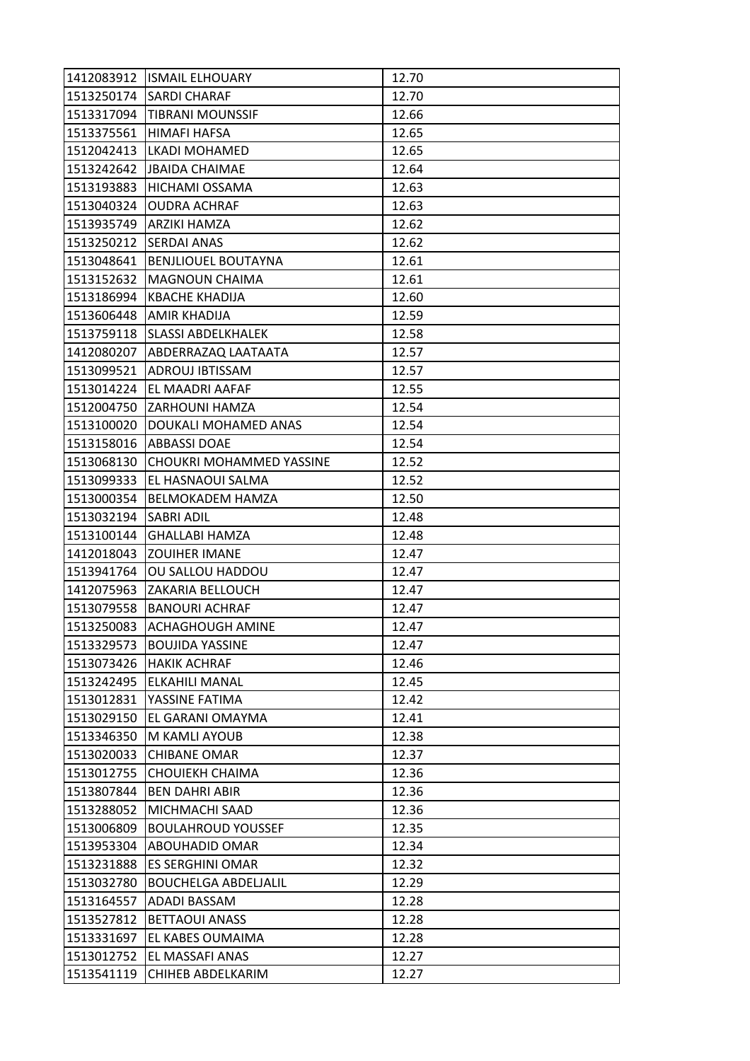|                         | 1412083912 ISMAIL ELHOUARY     | 12.70 |
|-------------------------|--------------------------------|-------|
|                         | 1513250174 SARDI CHARAF        | 12.70 |
|                         | 1513317094   TIBRANI MOUNSSIF  | 12.66 |
| 1513375561              | HIMAFI HAFSA                   | 12.65 |
| 1512042413              | LKADI MOHAMED                  | 12.65 |
|                         | 1513242642  JBAIDA CHAIMAE     | 12.64 |
| 1513193883              | <b>HICHAMI OSSAMA</b>          | 12.63 |
| 1513040324              | <b>OUDRA ACHRAF</b>            | 12.63 |
|                         | 1513935749 ARZIKI HAMZA        | 12.62 |
|                         | 1513250212 SERDAI ANAS         | 12.62 |
| 1513048641              | <b>BENJLIOUEL BOUTAYNA</b>     | 12.61 |
| 1513152632              | MAGNOUN CHAIMA                 | 12.61 |
| 1513186994              | KBACHE KHADIJA                 | 12.60 |
|                         | 1513606448 AMIR KHADIJA        | 12.59 |
|                         | 1513759118 SLASSI ABDELKHALEK  | 12.58 |
|                         | 1412080207 ABDERRAZAQ LAATAATA | 12.57 |
| 1513099521              | <b>ADROUJ IBTISSAM</b>         | 12.57 |
| 1513014224              | EL MAADRI AAFAF                | 12.55 |
|                         | 1512004750 ZARHOUNI HAMZA      | 12.54 |
| 1513100020              | DOUKALI MOHAMED ANAS           | 12.54 |
|                         | 1513158016   ABBASSI DOAE      | 12.54 |
| 1513068130              | CHOUKRI MOHAMMED YASSINE       | 12.52 |
| 1513099333              | EL HASNAOUI SALMA              | 12.52 |
| 1513000354              | <b>BELMOKADEM HAMZA</b>        | 12.50 |
| 1513032194   SABRI ADIL |                                | 12.48 |
|                         | 1513100144 GHALLABI HAMZA      | 12.48 |
| 1412018043              | <b>ZOUIHER IMANE</b>           | 12.47 |
| 1513941764              | OU SALLOU HADDOU               | 12.47 |
| 1412075963              | ZAKARIA BELLOUCH               | 12.47 |
| 1513079558              | <b>BANOURI ACHRAF</b>          | 12.47 |
| 1513250083              | <b>ACHAGHOUGH AMINE</b>        | 12.47 |
| 1513329573              | <b>BOUJIDA YASSINE</b>         | 12.47 |
|                         | 1513073426   HAKIK ACHRAF      | 12.46 |
| 1513242495              | ELKAHILI MANAL                 | 12.45 |
| 1513012831              | YASSINE FATIMA                 | 12.42 |
| 1513029150              | EL GARANI OMAYMA               | 12.41 |
| 1513346350              | M KAMLI AYOUB                  | 12.38 |
| 1513020033              | <b>CHIBANE OMAR</b>            | 12.37 |
| 1513012755              | CHOUIEKH CHAIMA                | 12.36 |
| 1513807844              | <b>BEN DAHRI ABIR</b>          | 12.36 |
| 1513288052              | MICHMACHI SAAD                 | 12.36 |
| 1513006809              | <b>BOULAHROUD YOUSSEF</b>      | 12.35 |
| 1513953304              | <b>ABOUHADID OMAR</b>          | 12.34 |
| 1513231888              | ES SERGHINI OMAR               | 12.32 |
| 1513032780              | <b>BOUCHELGA ABDELJALIL</b>    | 12.29 |
| 1513164557              | ADADI BASSAM                   | 12.28 |
| 1513527812              | <b>BETTAOUI ANASS</b>          | 12.28 |
| 1513331697              | EL KABES OUMAIMA               | 12.28 |
| 1513012752              | EL MASSAFI ANAS                | 12.27 |
| 1513541119              | CHIHEB ABDELKARIM              | 12.27 |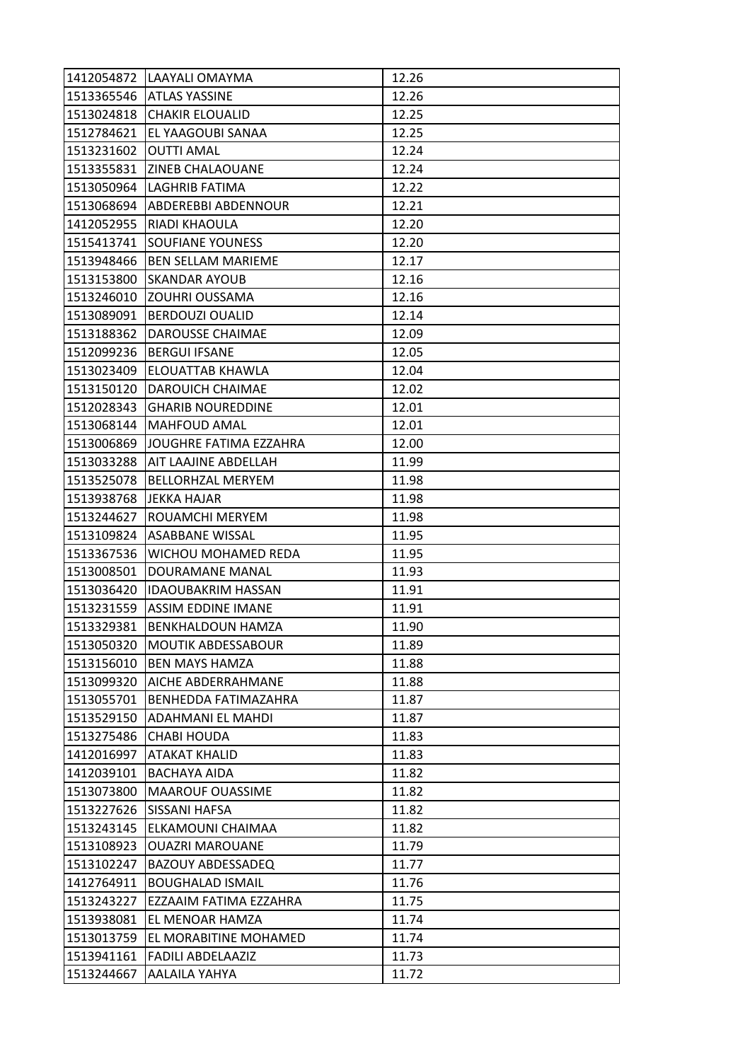| 1412054872 | LAAYALI OMAYMA                | 12.26 |
|------------|-------------------------------|-------|
|            | 1513365546 ATLAS YASSINE      | 12.26 |
| 1513024818 | <b>CHAKIR ELOUALID</b>        | 12.25 |
| 1512784621 | EL YAAGOUBI SANAA             | 12.25 |
| 1513231602 | <b>OUTTI AMAL</b>             | 12.24 |
| 1513355831 | <b>ZINEB CHALAOUANE</b>       | 12.24 |
| 1513050964 | LAGHRIB FATIMA                | 12.22 |
| 1513068694 | ABDEREBBI ABDENNOUR           | 12.21 |
| 1412052955 | RIADI KHAOULA                 | 12.20 |
| 1515413741 | <b>SOUFIANE YOUNESS</b>       | 12.20 |
| 1513948466 | <b>BEN SELLAM MARIEME</b>     | 12.17 |
| 1513153800 | <b>SKANDAR AYOUB</b>          | 12.16 |
| 1513246010 | <b>ZOUHRI OUSSAMA</b>         | 12.16 |
| 1513089091 | <b>BERDOUZI OUALID</b>        | 12.14 |
| 1513188362 | DAROUSSE CHAIMAE              | 12.09 |
|            | 1512099236   BERGUI IFSANE    | 12.05 |
| 1513023409 | <b>ELOUATTAB KHAWLA</b>       | 12.04 |
| 1513150120 | DAROUICH CHAIMAE              | 12.02 |
| 1512028343 | <b>GHARIB NOUREDDINE</b>      | 12.01 |
| 1513068144 | <b>MAHFOUD AMAL</b>           | 12.01 |
| 1513006869 | JOUGHRE FATIMA EZZAHRA        | 12.00 |
| 1513033288 | AIT LAAJINE ABDELLAH          | 11.99 |
| 1513525078 | <b>BELLORHZAL MERYEM</b>      | 11.98 |
| 1513938768 | JEKKA HAJAR                   | 11.98 |
| 1513244627 | ROUAMCHI MERYEM               | 11.98 |
| 1513109824 | <b>ASABBANE WISSAL</b>        | 11.95 |
| 1513367536 | WICHOU MOHAMED REDA           | 11.95 |
| 1513008501 | DOURAMANE MANAL               | 11.93 |
| 1513036420 | <b>IDAOUBAKRIM HASSAN</b>     | 11.91 |
|            | 1513231559 ASSIM EDDINE IMANE | 11.91 |
| 1513329381 | BENKHALDOUN HAMZA             | 11.90 |
| 1513050320 | <b>MOUTIK ABDESSABOUR</b>     | 11.89 |
| 1513156010 | <b>BEN MAYS HAMZA</b>         | 11.88 |
| 1513099320 | <b>AICHE ABDERRAHMANE</b>     | 11.88 |
| 1513055701 | BENHEDDA FATIMAZAHRA          | 11.87 |
| 1513529150 | <b>ADAHMANI EL MAHDI</b>      | 11.87 |
| 1513275486 | CHABI HOUDA                   | 11.83 |
| 1412016997 | <b>ATAKAT KHALID</b>          | 11.83 |
| 1412039101 | BACHAYA AIDA                  | 11.82 |
| 1513073800 | <b>MAAROUF OUASSIME</b>       | 11.82 |
| 1513227626 | SISSANI HAFSA                 | 11.82 |
| 1513243145 | ELKAMOUNI CHAIMAA             | 11.82 |
| 1513108923 | <b>OUAZRI MAROUANE</b>        | 11.79 |
| 1513102247 | <b>BAZOUY ABDESSADEQ</b>      | 11.77 |
| 1412764911 | <b>BOUGHALAD ISMAIL</b>       | 11.76 |
| 1513243227 | EZZAAIM FATIMA EZZAHRA        | 11.75 |
| 1513938081 | EL MENOAR HAMZA               | 11.74 |
| 1513013759 | EL MORABITINE MOHAMED         | 11.74 |
| 1513941161 | <b>FADILI ABDELAAZIZ</b>      | 11.73 |
| 1513244667 | AALAILA YAHYA                 | 11.72 |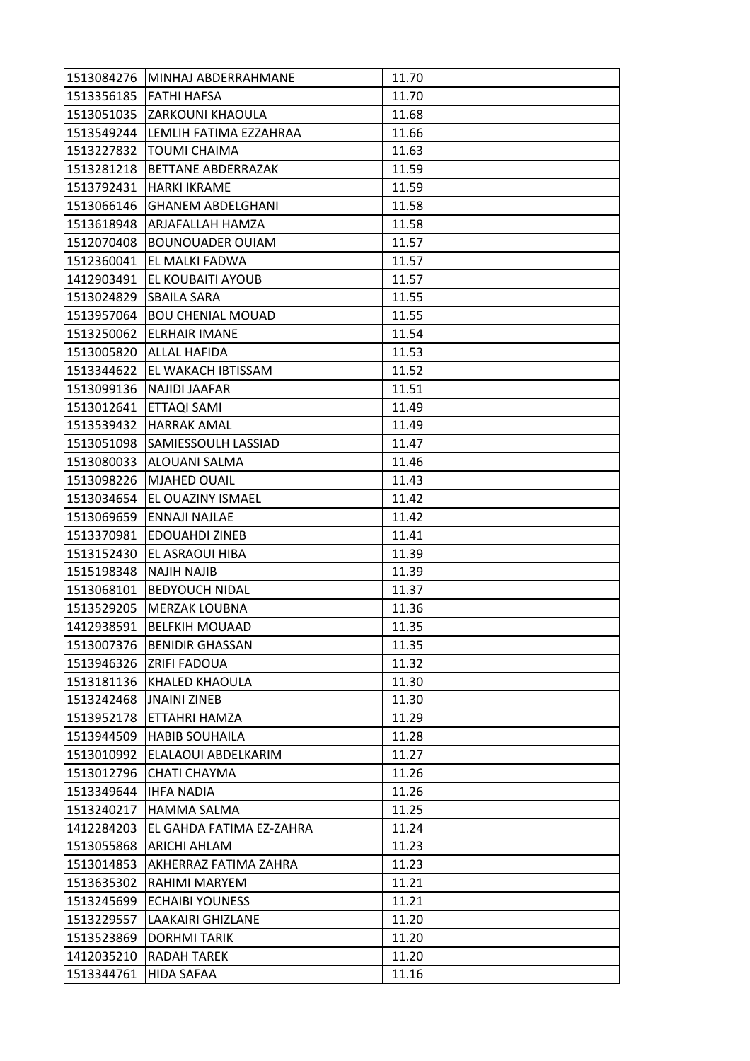|            | 1513084276 MINHAJ ABDERRAHMANE | 11.70 |
|------------|--------------------------------|-------|
|            | 1513356185 FATHI HAFSA         | 11.70 |
| 1513051035 | ZARKOUNI KHAOULA               | 11.68 |
| 1513549244 | LEMLIH FATIMA EZZAHRAA         | 11.66 |
| 1513227832 | <b>TOUMI CHAIMA</b>            | 11.63 |
| 1513281218 | BETTANE ABDERRAZAK             | 11.59 |
|            | 1513792431  HARKI IKRAME       | 11.59 |
| 1513066146 | <b>GHANEM ABDELGHANI</b>       | 11.58 |
|            | 1513618948 ARJAFALLAH HAMZA    | 11.58 |
| 1512070408 | <b>BOUNOUADER OUIAM</b>        | 11.57 |
|            | 1512360041 EL MALKI FADWA      | 11.57 |
|            | 1412903491 EL KOUBAITI AYOUB   | 11.57 |
| 1513024829 | SBAILA SARA                    | 11.55 |
| 1513957064 | <b>BOU CHENIAL MOUAD</b>       | 11.55 |
| 1513250062 | <b>ELRHAIR IMANE</b>           | 11.54 |
|            | 1513005820 ALLAL HAFIDA        | 11.53 |
|            | 1513344622 EL WAKACH IBTISSAM  | 11.52 |
| 1513099136 | <b>NAJIDI JAAFAR</b>           | 11.51 |
| 1513012641 | <b>ETTAQI SAMI</b>             | 11.49 |
| 1513539432 | <b>HARRAK AMAL</b>             | 11.49 |
|            | 1513051098 SAMIESSOULH LASSIAD | 11.47 |
| 1513080033 | ALOUANI SALMA                  | 11.46 |
| 1513098226 | <b>MJAHED OUAIL</b>            | 11.43 |
| 1513034654 | EL OUAZINY ISMAEL              | 11.42 |
| 1513069659 | ENNAJI NAJLAE                  | 11.42 |
| 1513370981 | <b>EDOUAHDI ZINEB</b>          | 11.41 |
| 1513152430 | EL ASRAOUI HIBA                | 11.39 |
| 1515198348 | <b>NAJIH NAJIB</b>             | 11.39 |
| 1513068101 | <b>BEDYOUCH NIDAL</b>          | 11.37 |
| 1513529205 | <b>MERZAK LOUBNA</b>           | 11.36 |
|            | 1412938591   BELFKIH MOUAAD    | 11.35 |
| 1513007376 | <b>BENIDIR GHASSAN</b>         | 11.35 |
|            | 1513946326 ZRIFI FADOUA        | 11.32 |
| 1513181136 | KHALED KHAOULA                 | 11.30 |
| 1513242468 | <b>JNAINI ZINEB</b>            | 11.30 |
| 1513952178 | ETTAHRI HAMZA                  | 11.29 |
| 1513944509 | <b>HABIB SOUHAILA</b>          | 11.28 |
| 1513010992 | ELALAOUI ABDELKARIM            | 11.27 |
| 1513012796 | <b>CHATI CHAYMA</b>            | 11.26 |
| 1513349644 | <b>IHFA NADIA</b>              | 11.26 |
| 1513240217 | <b>HAMMA SALMA</b>             | 11.25 |
| 1412284203 | EL GAHDA FATIMA EZ-ZAHRA       | 11.24 |
| 1513055868 | <b>ARICHI AHLAM</b>            | 11.23 |
| 1513014853 | AKHERRAZ FATIMA ZAHRA          | 11.23 |
| 1513635302 | RAHIMI MARYEM                  | 11.21 |
| 1513245699 | <b>ECHAIBI YOUNESS</b>         | 11.21 |
| 1513229557 | <b>LAAKAIRI GHIZLANE</b>       | 11.20 |
| 1513523869 | <b>DORHMITARIK</b>             | 11.20 |
| 1412035210 | <b>RADAH TAREK</b>             | 11.20 |
| 1513344761 | HIDA SAFAA                     | 11.16 |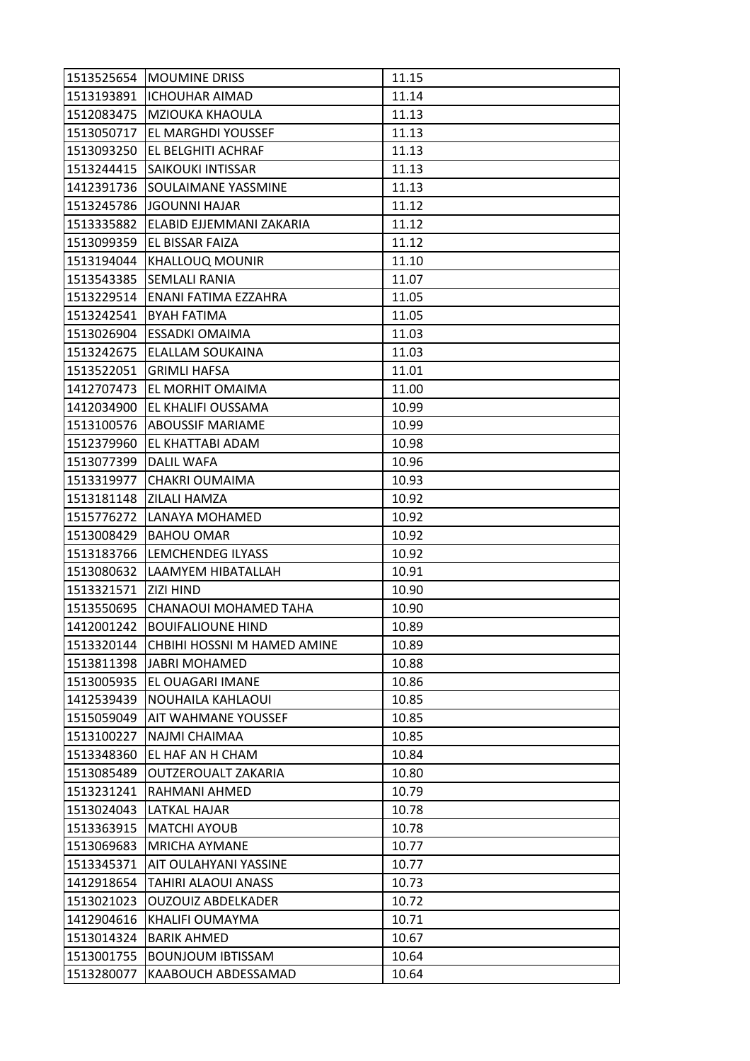|            | 1513525654 MOUMINE DRISS    | 11.15 |
|------------|-----------------------------|-------|
| 1513193891 | <b>ICHOUHAR AIMAD</b>       | 11.14 |
| 1512083475 | <b>MZIOUKA KHAOULA</b>      | 11.13 |
| 1513050717 | EL MARGHDI YOUSSEF          | 11.13 |
| 1513093250 | EL BELGHITI ACHRAF          | 11.13 |
| 1513244415 | <b>SAIKOUKI INTISSAR</b>    | 11.13 |
| 1412391736 | <b>SOULAIMANE YASSMINE</b>  | 11.13 |
| 1513245786 | <b>JGOUNNI HAJAR</b>        | 11.12 |
| 1513335882 | ELABID EJJEMMANI ZAKARIA    | 11.12 |
| 1513099359 | EL BISSAR FAIZA             | 11.12 |
| 1513194044 | <b>KHALLOUQ MOUNIR</b>      | 11.10 |
| 1513543385 | <b>SEMLALI RANIA</b>        | 11.07 |
| 1513229514 | ENANI FATIMA EZZAHRA        | 11.05 |
| 1513242541 | <b>BYAH FATIMA</b>          | 11.05 |
| 1513026904 | <b>ESSADKI OMAIMA</b>       | 11.03 |
| 1513242675 | ELALLAM SOUKAINA            | 11.03 |
| 1513522051 | <b>GRIMLI HAFSA</b>         | 11.01 |
| 1412707473 | EL MORHIT OMAIMA            | 11.00 |
| 1412034900 | EL KHALIFI OUSSAMA          | 10.99 |
| 1513100576 | <b>ABOUSSIF MARIAME</b>     | 10.99 |
| 1512379960 | EL KHATTABI ADAM            | 10.98 |
| 1513077399 | <b>DALIL WAFA</b>           | 10.96 |
| 1513319977 | CHAKRI OUMAIMA              | 10.93 |
| 1513181148 | <b>ZILALI HAMZA</b>         | 10.92 |
| 1515776272 | LANAYA MOHAMED              | 10.92 |
| 1513008429 | <b>BAHOU OMAR</b>           | 10.92 |
| 1513183766 | <b>LEMCHENDEG ILYASS</b>    | 10.92 |
| 1513080632 | LAAMYEM HIBATALLAH          | 10.91 |
| 1513321571 | <b>ZIZI HIND</b>            | 10.90 |
| 1513550695 | CHANAOUI MOHAMED TAHA       | 10.90 |
| 1412001242 | <b>BOUIFALIOUNE HIND</b>    | 10.89 |
| 1513320144 | CHBIHI HOSSNI M HAMED AMINE | 10.89 |
| 1513811398 | <b>JABRI MOHAMED</b>        | 10.88 |
| 1513005935 | EL OUAGARI IMANE            | 10.86 |
| 1412539439 | NOUHAILA KAHLAOUI           | 10.85 |
| 1515059049 | <b>AIT WAHMANE YOUSSEF</b>  | 10.85 |
| 1513100227 | NAJMI CHAIMAA               | 10.85 |
| 1513348360 | EL HAF AN H CHAM            | 10.84 |
| 1513085489 | OUTZEROUALT ZAKARIA         | 10.80 |
| 1513231241 | RAHMANI AHMED               | 10.79 |
| 1513024043 | LATKAL HAJAR                | 10.78 |
| 1513363915 | <b>MATCHI AYOUB</b>         | 10.78 |
| 1513069683 | <b>MRICHA AYMANE</b>        | 10.77 |
| 1513345371 | AIT OULAHYANI YASSINE       | 10.77 |
| 1412918654 | <b>TAHIRI ALAOUI ANASS</b>  | 10.73 |
| 1513021023 | <b>OUZOUIZ ABDELKADER</b>   | 10.72 |
| 1412904616 | KHALIFI OUMAYMA             | 10.71 |
| 1513014324 | <b>BARIK AHMED</b>          | 10.67 |
| 1513001755 | <b>BOUNJOUM IBTISSAM</b>    | 10.64 |
| 1513280077 | KAABOUCH ABDESSAMAD         | 10.64 |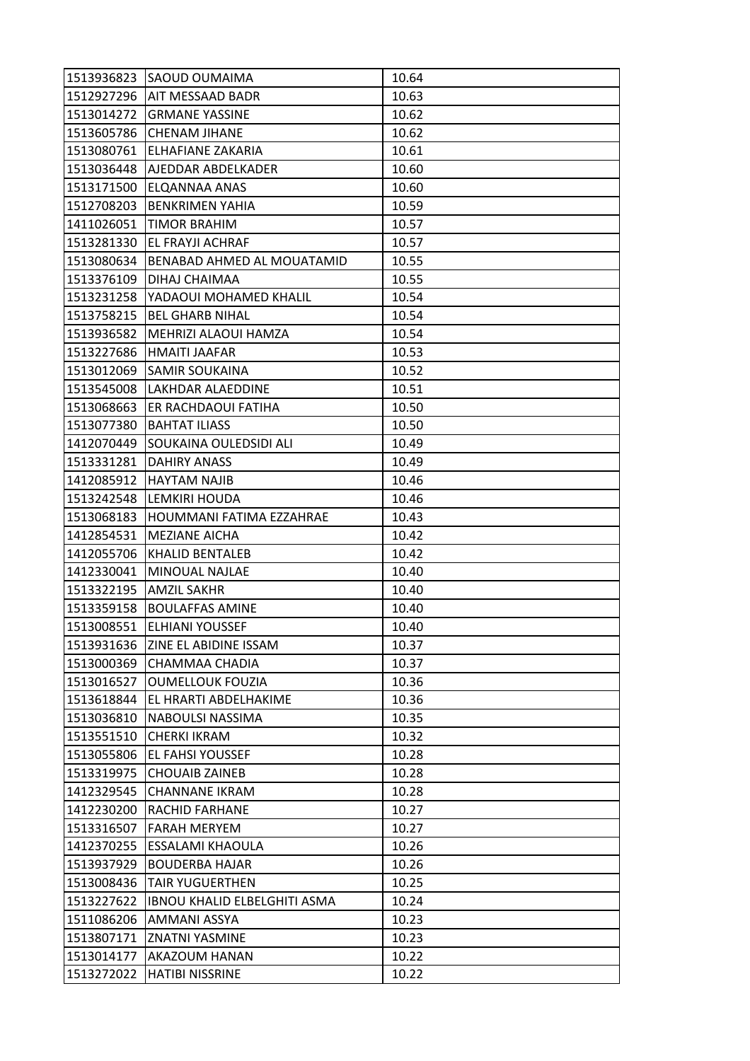|            | 1513936823 SAOUD OUMAIMA            | 10.64 |
|------------|-------------------------------------|-------|
|            | 1512927296   AIT MESSAAD BADR       | 10.63 |
| 1513014272 | <b>GRMANE YASSINE</b>               | 10.62 |
| 1513605786 | <b>CHENAM JIHANE</b>                | 10.62 |
| 1513080761 | <b>ELHAFIANE ZAKARIA</b>            | 10.61 |
| 1513036448 | AJEDDAR ABDELKADER                  | 10.60 |
| 1513171500 | ELQANNAA ANAS                       | 10.60 |
| 1512708203 | <b>BENKRIMEN YAHIA</b>              | 10.59 |
| 1411026051 | TIMOR BRAHIM                        | 10.57 |
| 1513281330 | EL FRAYJI ACHRAF                    | 10.57 |
| 1513080634 | BENABAD AHMED AL MOUATAMID          | 10.55 |
| 1513376109 | DIHAJ CHAIMAA                       | 10.55 |
| 1513231258 | YADAOUI MOHAMED KHALIL              | 10.54 |
| 1513758215 | <b>BEL GHARB NIHAL</b>              | 10.54 |
| 1513936582 | MEHRIZI ALAOUI HAMZA                | 10.54 |
| 1513227686 | HMAITI JAAFAR                       | 10.53 |
| 1513012069 | <b>SAMIR SOUKAINA</b>               | 10.52 |
| 1513545008 | LAKHDAR ALAEDDINE                   | 10.51 |
| 1513068663 | ER RACHDAOUI FATIHA                 | 10.50 |
| 1513077380 | <b>BAHTAT ILIASS</b>                | 10.50 |
| 1412070449 | SOUKAINA OULEDSIDI ALI              | 10.49 |
| 1513331281 | DAHIRY ANASS                        | 10.49 |
| 1412085912 | <b>HAYTAM NAJIB</b>                 | 10.46 |
| 1513242548 | LEMKIRI HOUDA                       | 10.46 |
| 1513068183 | HOUMMANI FATIMA EZZAHRAE            | 10.43 |
| 1412854531 | <b>MEZIANE AICHA</b>                | 10.42 |
| 1412055706 | <b>KHALID BENTALEB</b>              | 10.42 |
| 1412330041 | MINOUAL NAJLAE                      | 10.40 |
| 1513322195 | <b>AMZIL SAKHR</b>                  | 10.40 |
| 1513359158 | <b>BOULAFFAS AMINE</b>              | 10.40 |
| 1513008551 | ELHIANI YOUSSEF                     | 10.40 |
| 1513931636 | ZINE EL ABIDINE ISSAM               | 10.37 |
| 1513000369 | CHAMMAA CHADIA                      | 10.37 |
| 1513016527 | <b>OUMELLOUK FOUZIA</b>             | 10.36 |
| 1513618844 | EL HRARTI ABDELHAKIME               | 10.36 |
| 1513036810 | NABOULSI NASSIMA                    | 10.35 |
| 1513551510 | <b>CHERKI IKRAM</b>                 | 10.32 |
| 1513055806 | <b>EL FAHSI YOUSSEF</b>             | 10.28 |
| 1513319975 | <b>CHOUAIB ZAINEB</b>               | 10.28 |
| 1412329545 | <b>CHANNANE IKRAM</b>               | 10.28 |
| 1412230200 | RACHID FARHANE                      | 10.27 |
| 1513316507 | <b>FARAH MERYEM</b>                 | 10.27 |
| 1412370255 | <b>ESSALAMI KHAOULA</b>             | 10.26 |
| 1513937929 | <b>BOUDERBA HAJAR</b>               | 10.26 |
| 1513008436 | <b>TAIR YUGUERTHEN</b>              | 10.25 |
| 1513227622 | <b>IBNOU KHALID ELBELGHITI ASMA</b> | 10.24 |
| 1511086206 | AMMANI ASSYA                        | 10.23 |
| 1513807171 | <b>ZNATNI YASMINE</b>               | 10.23 |
| 1513014177 | AKAZOUM HANAN                       | 10.22 |
| 1513272022 | <b>HATIBI NISSRINE</b>              | 10.22 |